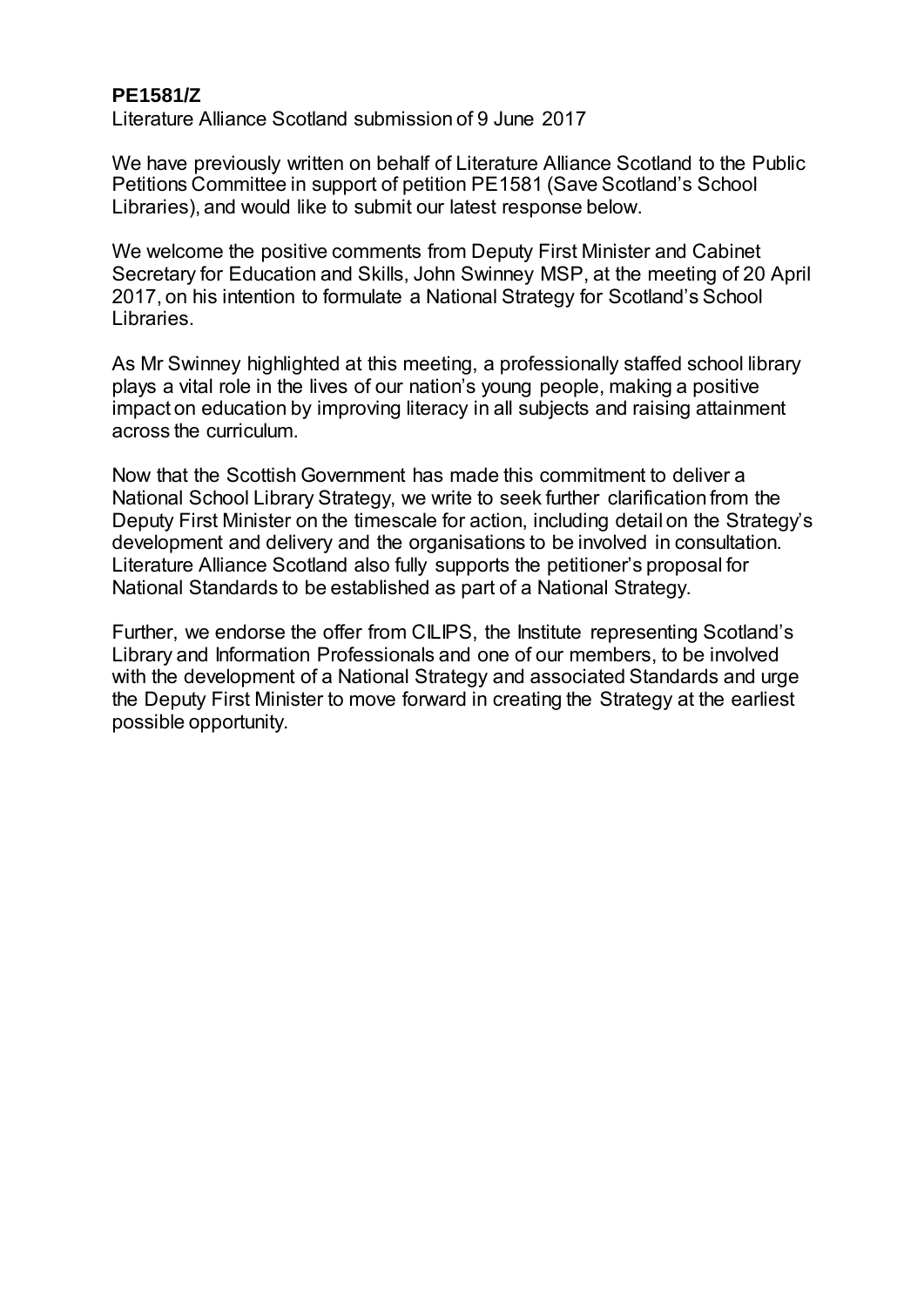## **PE1581/Z**

Literature Alliance Scotland submission of 9 June 2017

We have previously written on behalf of Literature Alliance Scotland to the Public Petitions Committee in support of petition PE1581 (Save Scotland's School Libraries), and would like to submit our latest response below.

We welcome the positive comments from Deputy First Minister and Cabinet Secretary for Education and Skills, John Swinney MSP, at the meeting of 20 April 2017, on his intention to formulate a National Strategy for Scotland's School Libraries.

As Mr Swinney highlighted at this meeting, a professionally staffed school library plays a vital role in the lives of our nation's young people, making a positive impact on education by improving literacy in all subjects and raising attainment across the curriculum.

Now that the Scottish Government has made this commitment to deliver a National School Library Strategy, we write to seek further clarification from the Deputy First Minister on the timescale for action, including detail on the Strategy's development and delivery and the organisations to be involved in consultation. Literature Alliance Scotland also fully supports the petitioner's proposal for National Standards to be established as part of a National Strategy.

Further, we endorse the offer from CILIPS, the Institute representing Scotland's Library and Information Professionals and one of our members, to be involved with the development of a National Strategy and associated Standards and urge the Deputy First Minister to move forward in creating the Strategy at the earliest possible opportunity.